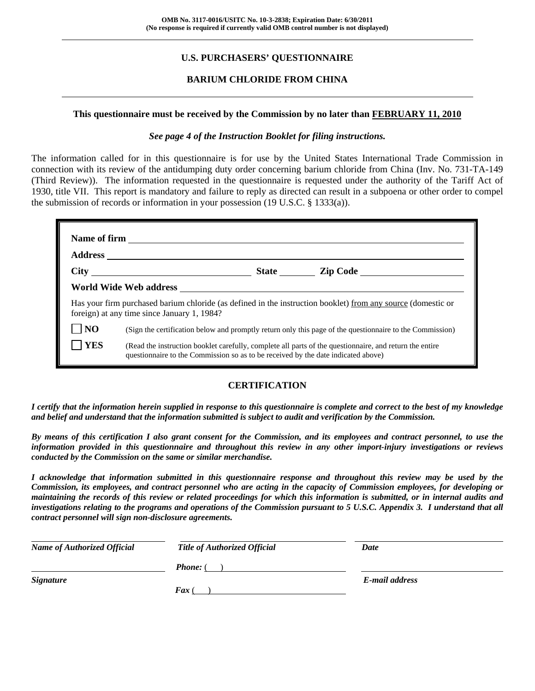## **U.S. PURCHASERS' QUESTIONNAIRE**

## **BARIUM CHLORIDE FROM CHINA**

#### **This questionnaire must be received by the Commission by no later than FEBRUARY 11, 2010**

#### *See page 4 of the Instruction Booklet for filing instructions.*

The information called for in this questionnaire is for use by the United States International Trade Commission in connection with its review of the antidumping duty order concerning barium chloride from China (Inv. No. 731-TA-149 (Third Review)). The information requested in the questionnaire is requested under the authority of the Tariff Act of 1930, title VII. This report is mandatory and failure to reply as directed can result in a subpoena or other order to compel the submission of records or information in your possession (19 U.S.C. § 1333(a)).

|                | Has your firm purchased barium chloride (as defined in the instruction booklet) from any source (domestic or<br>foreign) at any time since January 1, 1984?                                  |  |  |  |
|----------------|----------------------------------------------------------------------------------------------------------------------------------------------------------------------------------------------|--|--|--|
| N <sub>O</sub> | (Sign the certification below and promptly return only this page of the questionnaire to the Commission)                                                                                     |  |  |  |
| <b>YES</b>     | (Read the instruction booklet carefully, complete all parts of the questionnaire, and return the entire<br>questionnaire to the Commission so as to be received by the date indicated above) |  |  |  |

#### **CERTIFICATION**

*I certify that the information herein supplied in response to this questionnaire is complete and correct to the best of my knowledge and belief and understand that the information submitted is subject to audit and verification by the Commission.* 

*By means of this certification I also grant consent for the Commission, and its employees and contract personnel, to use the information provided in this questionnaire and throughout this review in any other import-injury investigations or reviews conducted by the Commission on the same or similar merchandise.* 

*I acknowledge that information submitted in this questionnaire response and throughout this review may be used by the Commission, its employees, and contract personnel who are acting in the capacity of Commission employees, for developing or maintaining the records of this review or related proceedings for which this information is submitted, or in internal audits and investigations relating to the programs and operations of the Commission pursuant to 5 U.S.C. Appendix 3. I understand that all contract personnel will sign non-disclosure agreements.* 

| <b>Name of Authorized Official</b> | <b>Title of Authorized Official</b> | Date           |
|------------------------------------|-------------------------------------|----------------|
|                                    | <b>Phone:</b> (                     |                |
| <b>Signature</b>                   |                                     | E-mail address |
|                                    | $\boldsymbol{F}$ ax (               |                |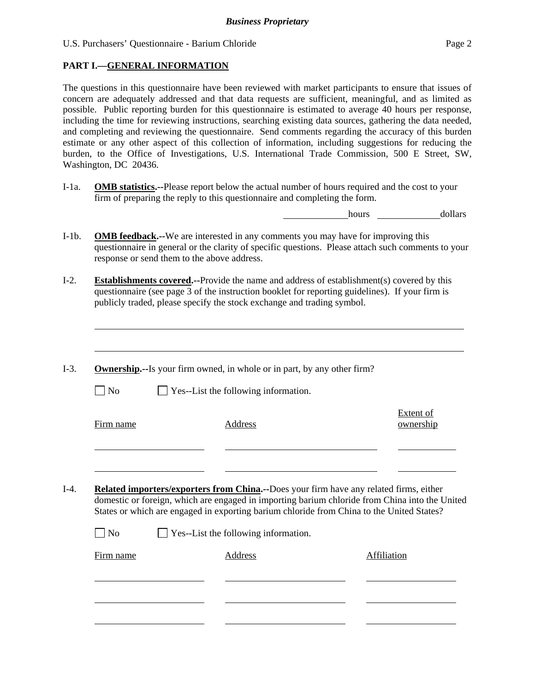U.S. Purchasers' Questionnaire - Barium Chloride Page 2

## **PART I.—GENERAL INFORMATION**

 $\overline{a}$ 

l

l

The questions in this questionnaire have been reviewed with market participants to ensure that issues of concern are adequately addressed and that data requests are sufficient, meaningful, and as limited as possible. Public reporting burden for this questionnaire is estimated to average 40 hours per response, including the time for reviewing instructions, searching existing data sources, gathering the data needed, and completing and reviewing the questionnaire. Send comments regarding the accuracy of this burden estimate or any other aspect of this collection of information, including suggestions for reducing the burden, to the Office of Investigations, U.S. International Trade Commission, 500 E Street, SW, Washington, DC 20436.

I-1a. **OMB statistics.--**Please report below the actual number of hours required and the cost to your firm of preparing the reply to this questionnaire and completing the form.

hours dollars

- I-1b. **OMB feedback.--**We are interested in any comments you may have for improving this questionnaire in general or the clarity of specific questions. Please attach such comments to your response or send them to the above address.
- I-2. **Establishments covered.--**Provide the name and address of establishment(s) covered by this questionnaire (see page 3 of the instruction booklet for reporting guidelines). If your firm is publicly traded, please specify the stock exchange and trading symbol.
- I-3. **Ownership.--**Is your firm owned, in whole or in part, by any other firm?  $\Box$  No  $\Box$  Yes--List the following information. Firm name Address Extent of ownership l l I-4. **Related importers/exporters from China.--**Does your firm have any related firms, either domestic or foreign, which are engaged in importing barium chloride from China into the United States or which are engaged in exporting barium chloride from China to the United States?  $\Box$  No  $\Box$  Yes--List the following information. Firm name **Address** Address **Address** Affiliation  $\overline{a}$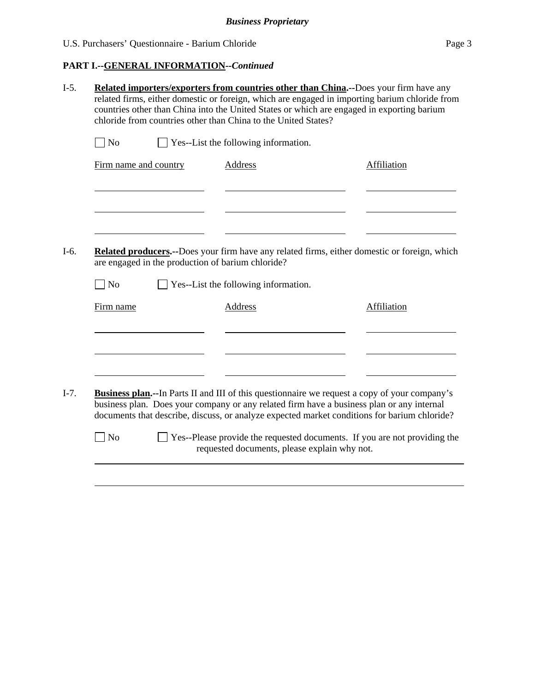# **PART I.--GENERAL INFORMATION***--Continued*

| $\Box$ No             | Yes--List the following information.                                                                                                                                                                                                                                                               |             |
|-----------------------|----------------------------------------------------------------------------------------------------------------------------------------------------------------------------------------------------------------------------------------------------------------------------------------------------|-------------|
| Firm name and country | <b>Address</b>                                                                                                                                                                                                                                                                                     | Affiliation |
|                       |                                                                                                                                                                                                                                                                                                    |             |
|                       | Related producers.--Does your firm have any related firms, either domestic or foreign, which<br>are engaged in the production of barium chloride?                                                                                                                                                  |             |
| N <sub>o</sub>        | Yes--List the following information.                                                                                                                                                                                                                                                               |             |
| Firm name             | Address                                                                                                                                                                                                                                                                                            | Affiliation |
|                       |                                                                                                                                                                                                                                                                                                    |             |
|                       | <b>Business plan.</b> --In Parts II and III of this questionnaire we request a copy of your company's<br>business plan. Does your company or any related firm have a business plan or any internal<br>documents that describe, discuss, or analyze expected market conditions for barium chloride? |             |
| No                    | Yes--Please provide the requested documents. If you are not providing the                                                                                                                                                                                                                          |             |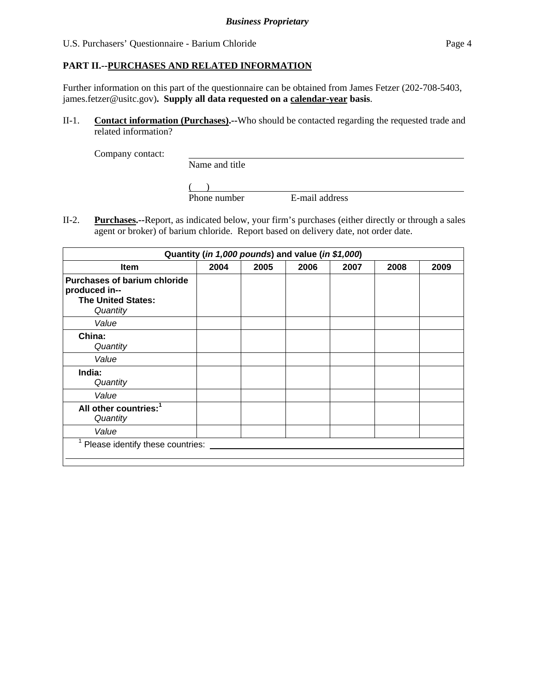## U.S. Purchasers' Questionnaire - Barium Chloride Page 4

## **PART II.--PURCHASES AND RELATED INFORMATION**

Further information on this part of the questionnaire can be obtained from James Fetzer (202-708-5403, james.fetzer@usitc.gov)**. Supply all data requested on a calendar-year basis**.

II-1. **Contact information (Purchases).--**Who should be contacted regarding the requested trade and related information?

Company contact:

Name and title

 $\frac{1}{2}$ Phone number E-mail address

II-2. **Purchases.--**Report, as indicated below, your firm's purchases (either directly or through a sales agent or broker) of barium chloride. Report based on delivery date, not order date.

| Quantity (in 1,000 pounds) and value (in \$1,000)                                             |      |      |      |      |      |      |
|-----------------------------------------------------------------------------------------------|------|------|------|------|------|------|
| <b>Item</b>                                                                                   | 2004 | 2005 | 2006 | 2007 | 2008 | 2009 |
| <b>Purchases of barium chloride</b><br>produced in--<br><b>The United States:</b><br>Quantity |      |      |      |      |      |      |
| Value                                                                                         |      |      |      |      |      |      |
| China:<br>Quantity                                                                            |      |      |      |      |      |      |
| Value                                                                                         |      |      |      |      |      |      |
| India:<br>Quantity                                                                            |      |      |      |      |      |      |
| Value                                                                                         |      |      |      |      |      |      |
| All other countries: <sup>1</sup><br>Quantity                                                 |      |      |      |      |      |      |
| Value                                                                                         |      |      |      |      |      |      |
| Please identify these countries:                                                              |      |      |      |      |      |      |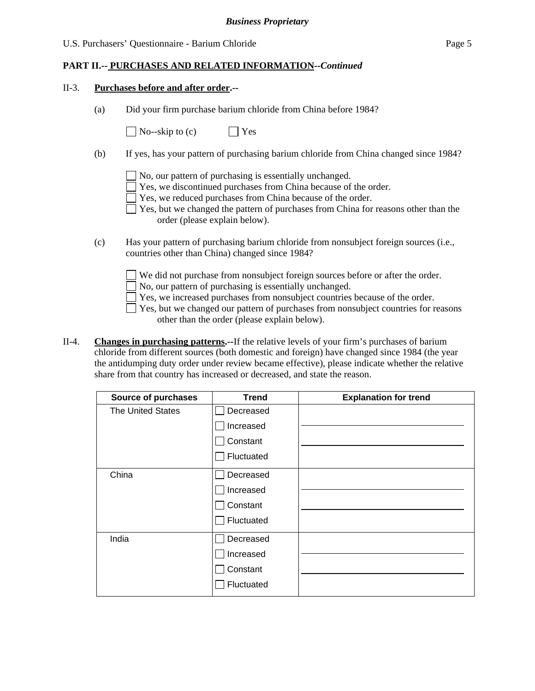#### *Business Proprietary*

#### U.S. Purchasers' Questionnaire - Barium Chloride Page 5

## **PART II.-- PURCHASES AND RELATED INFORMATION***--Continued*

#### II-3. **Purchases before and after order.--**

(a) Did your firm purchase barium chloride from China before 1984?

 $\bigcap$  No--skip to (c)  $\bigcap$  Yes

- (b) If yes, has your pattern of purchasing barium chloride from China changed since 1984?
	- No, our pattern of purchasing is essentially unchanged.
	- Yes, we discontinued purchases from China because of the order.
	- Yes, we reduced purchases from China because of the order.
	- Yes, but we changed the pattern of purchases from China for reasons other than the order (please explain below).
- (c) Has your pattern of purchasing barium chloride from nonsubject foreign sources (i.e., countries other than China) changed since 1984?
	- We did not purchase from nonsubject foreign sources before or after the order.
	- No, our pattern of purchasing is essentially unchanged.
	- Yes, we increased purchases from nonsubject countries because of the order.
	- $\Box$  Yes, but we changed our pattern of purchases from nonsubject countries for reasons other than the order (please explain below).
- II-4. **Changes in purchasing patterns.--**If the relative levels of your firm's purchases of barium chloride from different sources (both domestic and foreign) have changed since 1984 (the year the antidumping duty order under review became effective), please indicate whether the relative share from that country has increased or decreased, and state the reason.

| <b>Source of purchases</b> | <b>Trend</b> | <b>Explanation for trend</b> |
|----------------------------|--------------|------------------------------|
| <b>The United States</b>   | Decreased    |                              |
|                            | Increased    |                              |
|                            | Constant     |                              |
|                            | Fluctuated   |                              |
| China                      | Decreased    |                              |
|                            | Increased    |                              |
|                            | Constant     |                              |
|                            | Fluctuated   |                              |
| India                      | Decreased    |                              |
|                            | Increased    |                              |
|                            | Constant     |                              |
|                            | Fluctuated   |                              |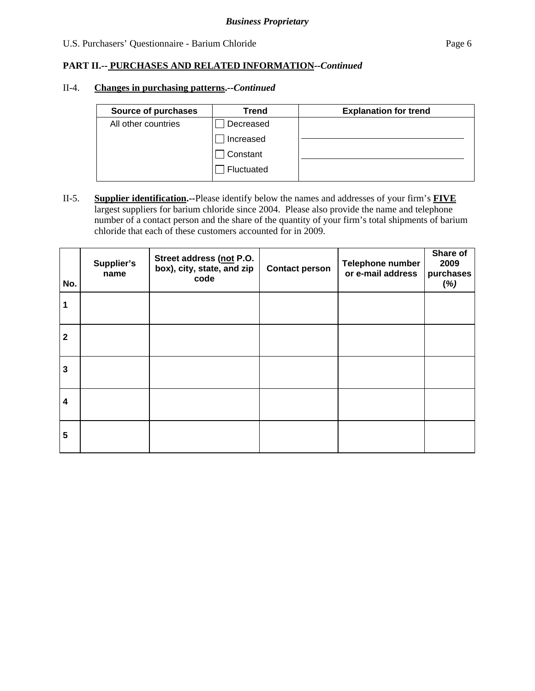## U.S. Purchasers' Questionnaire - Barium Chloride Page 6

## **PART II.-- PURCHASES AND RELATED INFORMATION***--Continued*

#### II-4. **Changes in purchasing patterns.--***Continued*

| Source of purchases | Trend      | <b>Explanation for trend</b> |
|---------------------|------------|------------------------------|
| All other countries | Decreased  |                              |
|                     | Increased  |                              |
|                     | Constant   |                              |
|                     | Fluctuated |                              |

II-5. **Supplier identification.--**Please identify below the names and addresses of your firm's **FIVE** largest suppliers for barium chloride since 2004. Please also provide the name and telephone number of a contact person and the share of the quantity of your firm's total shipments of barium chloride that each of these customers accounted for in 2009.

| No.            | Supplier's<br>name | Street address (not P.O.<br>box), city, state, and zip<br>code | <b>Contact person</b> | Telephone number<br>or e-mail address | Share of<br>2009<br>purchases<br>(%) |
|----------------|--------------------|----------------------------------------------------------------|-----------------------|---------------------------------------|--------------------------------------|
| 1              |                    |                                                                |                       |                                       |                                      |
| $\overline{2}$ |                    |                                                                |                       |                                       |                                      |
| 3              |                    |                                                                |                       |                                       |                                      |
| 4              |                    |                                                                |                       |                                       |                                      |
| 5              |                    |                                                                |                       |                                       |                                      |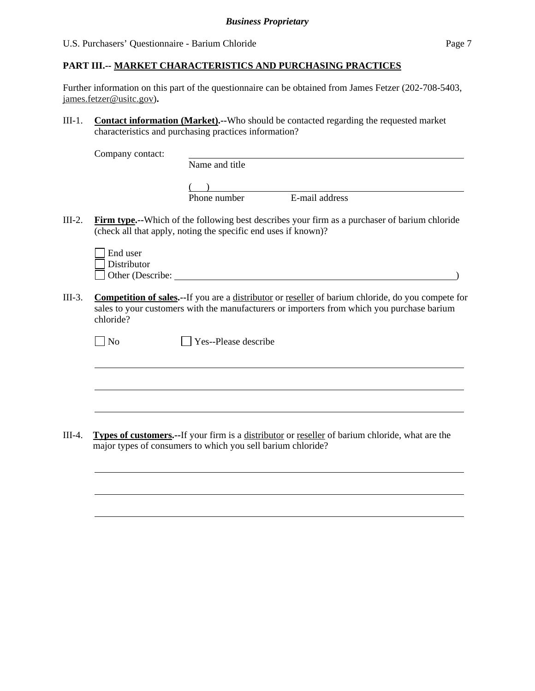Further information on this part of the questionnaire can be obtained from James Fetzer (202-708-5403, james.fetzer@usitc.gov)**.** 

III-1. **Contact information (Market).--**Who should be contacted regarding the requested market characteristics and purchasing practices information?

Company contact:

Name and title

 $($ Phone number E-mail address

III-2. **Firm type.--**Which of the following best describes your firm as a purchaser of barium chloride (check all that apply, noting the specific end uses if known)?

| $\Box$ End user         |  |
|-------------------------|--|
| $\Box$ Distributor      |  |
| $\Box$ Other (Describe: |  |

III-3. **Competition of sales.--**If you are a distributor or reseller of barium chloride, do you compete for sales to your customers with the manufacturers or importers from which you purchase barium chloride?

| ×  |
|----|
| ۰. |

 $\overline{a}$ 

l

 $\Box$  Yes--Please describe

III-4. **Types of customers.--**If your firm is a distributor or reseller of barium chloride, what are the major types of consumers to which you sell barium chloride?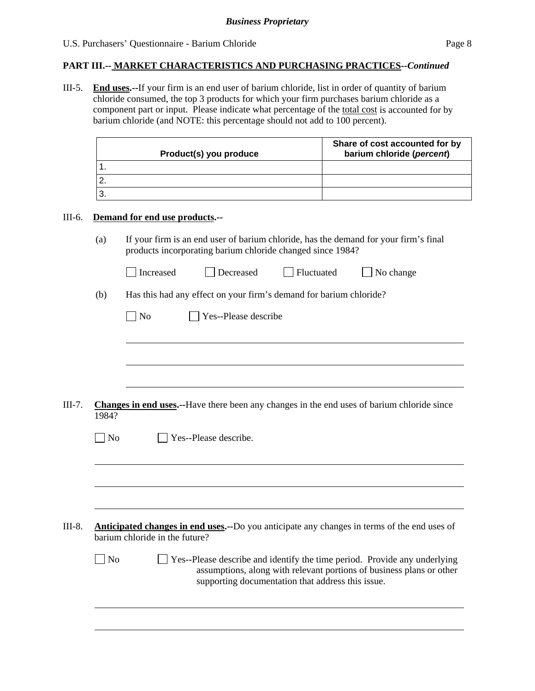III-5. **End uses.--**If your firm is an end user of barium chloride, list in order of quantity of barium chloride consumed, the top 3 products for which your firm purchases barium chloride as a component part or input. Please indicate what percentage of the total cost is accounted for by barium chloride (and NOTE: this percentage should not add to 100 percent).

| Product(s) you produce | Share of cost accounted for by<br>barium chloride (percent) |
|------------------------|-------------------------------------------------------------|
|                        |                                                             |
|                        |                                                             |
|                        |                                                             |

#### III-6. **Demand for end use products.--**

 $\overline{a}$ 

(a) If your firm is an end user of barium chloride, has the demand for your firm's final products incorporating barium chloride changed since 1984?

| Increased | Decreased | Fluctuated | $\Box$ No change |
|-----------|-----------|------------|------------------|
|           |           |            |                  |

(b) Has this had any effect on your firm's demand for barium chloride?

| $\Box$ No | $\Box$ Yes--Please describe |
|-----------|-----------------------------|
|-----------|-----------------------------|

III-7. **Changes in end uses.--**Have there been any changes in the end uses of barium chloride since 1984?

| No | Yes--Please describe.                                                                                                                 |
|----|---------------------------------------------------------------------------------------------------------------------------------------|
|    |                                                                                                                                       |
|    |                                                                                                                                       |
|    |                                                                                                                                       |
|    | <b>Anticipated changes in end uses.</b> --Do you anticipate any changes in terms of the end uses of<br>barium chloride in the future? |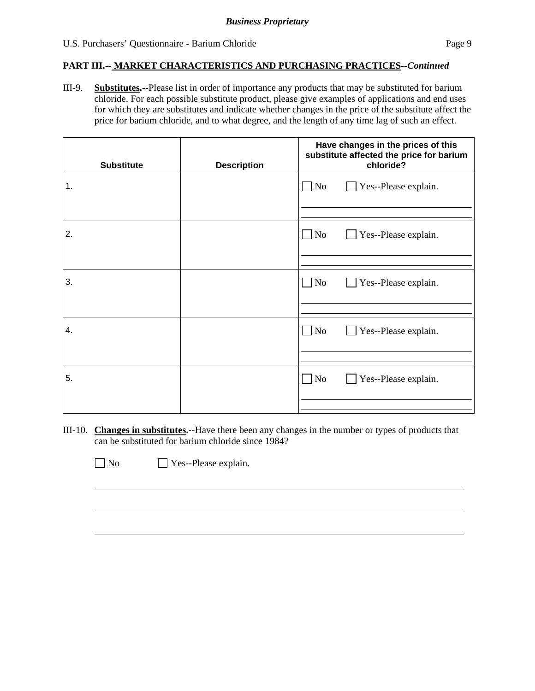III-9. **Substitutes.--**Please list in order of importance any products that may be substituted for barium chloride. For each possible substitute product, please give examples of applications and end uses for which they are substitutes and indicate whether changes in the price of the substitute affect the price for barium chloride, and to what degree, and the length of any time lag of such an effect.

| <b>Substitute</b> | <b>Description</b> | Have changes in the prices of this<br>substitute affected the price for barium<br>chloride? |  |  |
|-------------------|--------------------|---------------------------------------------------------------------------------------------|--|--|
| 1.                |                    | $\Box$ No<br>Yes--Please explain.                                                           |  |  |
| 2.                |                    | $\Box$ No<br>Yes--Please explain.                                                           |  |  |
| 3.                |                    | $\Box$ No<br>Yes--Please explain.<br>$\mathcal{L}$                                          |  |  |
| 4.                |                    | $\Box$ No<br>Yes--Please explain.<br>$\blacksquare$                                         |  |  |
| 5.                |                    | $\Box$ No<br>Yes--Please explain.                                                           |  |  |

III-10. **Changes in substitutes.--**Have there been any changes in the number or types of products that can be substituted for barium chloride since 1984?

 $\overline{a}$ 

No Yes--Please explain.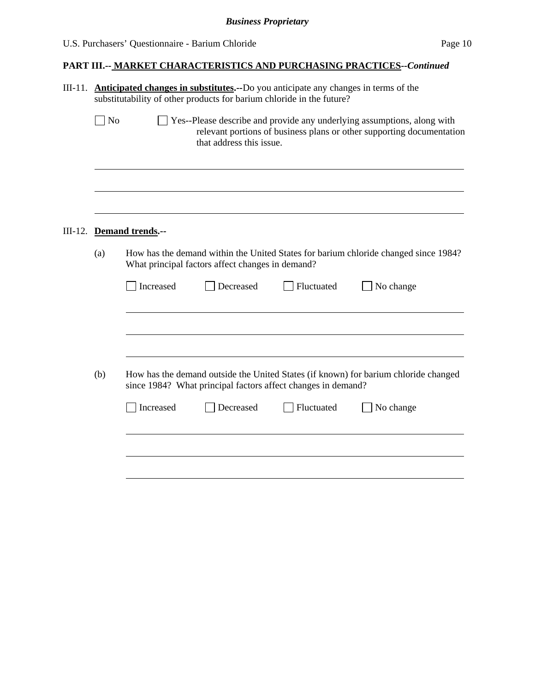| III-11. Anticipated changes in substitutes.--Do you anticipate any changes in terms of the<br>substitutability of other products for barium chloride in the future? |                          |                                                              |            |                                                                                                                                                  |  |
|---------------------------------------------------------------------------------------------------------------------------------------------------------------------|--------------------------|--------------------------------------------------------------|------------|--------------------------------------------------------------------------------------------------------------------------------------------------|--|
| $\Box$ No                                                                                                                                                           |                          | that address this issue.                                     |            | Yes--Please describe and provide any underlying assumptions, along with<br>relevant portions of business plans or other supporting documentation |  |
|                                                                                                                                                                     | III-12. Demand trends.-- |                                                              |            |                                                                                                                                                  |  |
| (a)                                                                                                                                                                 |                          | What principal factors affect changes in demand?             |            | How has the demand within the United States for barium chloride changed since 1984?                                                              |  |
|                                                                                                                                                                     | Increased                | Decreased                                                    | Fluctuated | No change                                                                                                                                        |  |
| (b)                                                                                                                                                                 |                          | since 1984? What principal factors affect changes in demand? |            | How has the demand outside the United States (if known) for barium chloride changed                                                              |  |
|                                                                                                                                                                     | Increased                | Decreased                                                    | Fluctuated | No change                                                                                                                                        |  |
|                                                                                                                                                                     |                          |                                                              |            |                                                                                                                                                  |  |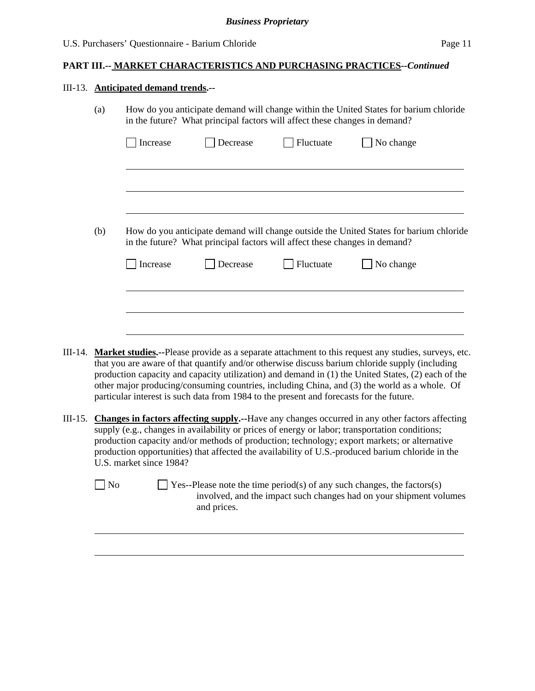## III-13. **Anticipated demand trends.--**

l

|         | (a)                                                                                                                                                                                                                                                                                                                                                                                                                                     | How do you anticipate demand will change within the United States for barium chloride<br>in the future? What principal factors will affect these changes in demand? |                                                                            |           |                                                                                                                                                                                                                                                                                                                                                                                                                     |  |
|---------|-----------------------------------------------------------------------------------------------------------------------------------------------------------------------------------------------------------------------------------------------------------------------------------------------------------------------------------------------------------------------------------------------------------------------------------------|---------------------------------------------------------------------------------------------------------------------------------------------------------------------|----------------------------------------------------------------------------|-----------|---------------------------------------------------------------------------------------------------------------------------------------------------------------------------------------------------------------------------------------------------------------------------------------------------------------------------------------------------------------------------------------------------------------------|--|
|         |                                                                                                                                                                                                                                                                                                                                                                                                                                         | Increase                                                                                                                                                            | Decrease                                                                   | Fluctuate | No change                                                                                                                                                                                                                                                                                                                                                                                                           |  |
|         |                                                                                                                                                                                                                                                                                                                                                                                                                                         |                                                                                                                                                                     |                                                                            |           |                                                                                                                                                                                                                                                                                                                                                                                                                     |  |
|         | (b)                                                                                                                                                                                                                                                                                                                                                                                                                                     |                                                                                                                                                                     | in the future? What principal factors will affect these changes in demand? |           | How do you anticipate demand will change outside the United States for barium chloride                                                                                                                                                                                                                                                                                                                              |  |
|         |                                                                                                                                                                                                                                                                                                                                                                                                                                         | Increase                                                                                                                                                            | Decrease                                                                   | Fluctuate | No change                                                                                                                                                                                                                                                                                                                                                                                                           |  |
|         |                                                                                                                                                                                                                                                                                                                                                                                                                                         |                                                                                                                                                                     |                                                                            |           |                                                                                                                                                                                                                                                                                                                                                                                                                     |  |
|         |                                                                                                                                                                                                                                                                                                                                                                                                                                         |                                                                                                                                                                     |                                                                            |           |                                                                                                                                                                                                                                                                                                                                                                                                                     |  |
| III-14. |                                                                                                                                                                                                                                                                                                                                                                                                                                         | particular interest is such data from 1984 to the present and forecasts for the future.                                                                             |                                                                            |           | <b>Market studies.</b> --Please provide as a separate attachment to this request any studies, surveys, etc.<br>that you are aware of that quantify and/or otherwise discuss barium chloride supply (including<br>production capacity and capacity utilization) and demand in (1) the United States, (2) each of the<br>other major producing/consuming countries, including China, and (3) the world as a whole. Of |  |
| III-15. | <b>Changes in factors affecting supply.</b> --Have any changes occurred in any other factors affecting<br>supply (e.g., changes in availability or prices of energy or labor; transportation conditions;<br>production capacity and/or methods of production; technology; export markets; or alternative<br>production opportunities) that affected the availability of U.S.-produced barium chloride in the<br>U.S. market since 1984? |                                                                                                                                                                     |                                                                            |           |                                                                                                                                                                                                                                                                                                                                                                                                                     |  |

 $\Box$  No  $\Box$  Yes--Please note the time period(s) of any such changes, the factors(s) involved, and the impact such changes had on your shipment volumes and prices.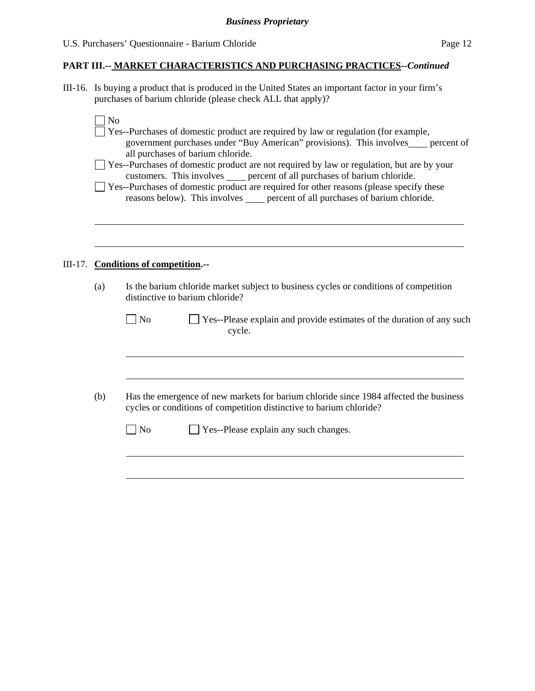III-16. Is buying a product that is produced in the United States an important factor in your firm's purchases of barium chloride (please check ALL that apply)?

No

l

- Yes--Purchases of domestic product are required by law or regulation (for example, government purchases under "Buy American" provisions). This involves percent of all purchases of barium chloride.
- Yes--Purchases of domestic product are not required by law or regulation, but are by your customers. This involves \_\_\_\_ percent of all purchases of barium chloride.
- $\Box$  Yes--Purchases of domestic product are required for other reasons (please specify these reasons below). This involves percent of all purchases of barium chloride.

#### III-17. **Conditions of competition.--**

l

 $\overline{a}$ 

(a) Is the barium chloride market subject to business cycles or conditions of competition distinctive to barium chloride?

| $\Box$ No | $\Box$ Yes--Please explain and provide estimates of the duration of any such |
|-----------|------------------------------------------------------------------------------|
|           | cycle.                                                                       |

(b) Has the emergence of new markets for barium chloride since 1984 affected the business cycles or conditions of competition distinctive to barium chloride?

| N <sub>o</sub> | $\Box$ Yes--Please explain any such changes. |
|----------------|----------------------------------------------|
|----------------|----------------------------------------------|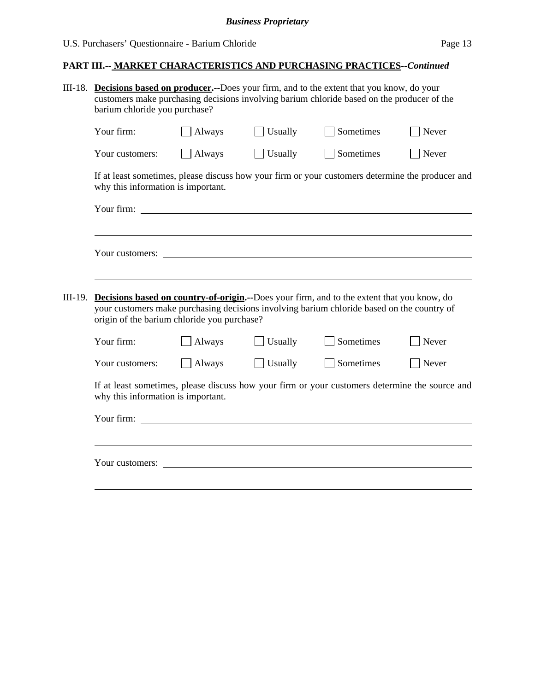## *Business Proprietary*

# **PART III.-- MARKET CHARACTERISTICS AND PURCHASING PRACTICES***--Continued*

|         | III-18. Decisions based on producer.--Does your firm, and to the extent that you know, do your<br>customers make purchasing decisions involving barium chloride based on the producer of the<br>barium chloride you purchase? |               |                |                                                                                                                                                                                          |                   |  |  |
|---------|-------------------------------------------------------------------------------------------------------------------------------------------------------------------------------------------------------------------------------|---------------|----------------|------------------------------------------------------------------------------------------------------------------------------------------------------------------------------------------|-------------------|--|--|
|         | Your firm:                                                                                                                                                                                                                    | Always        | Usually        | Sometimes                                                                                                                                                                                | Never             |  |  |
|         | Your customers:                                                                                                                                                                                                               | $\Box$ Always | $\Box$ Usually | Sometimes                                                                                                                                                                                | $\sqrt{\ }$ Never |  |  |
|         | why this information is important.                                                                                                                                                                                            |               |                | If at least sometimes, please discuss how your firm or your customers determine the producer and                                                                                         |                   |  |  |
|         |                                                                                                                                                                                                                               |               |                |                                                                                                                                                                                          |                   |  |  |
|         |                                                                                                                                                                                                                               |               |                |                                                                                                                                                                                          |                   |  |  |
|         |                                                                                                                                                                                                                               |               |                |                                                                                                                                                                                          |                   |  |  |
|         |                                                                                                                                                                                                                               |               |                |                                                                                                                                                                                          |                   |  |  |
| III-19. | origin of the barium chloride you purchase?                                                                                                                                                                                   |               |                | Decisions based on country-of-origin.--Does your firm, and to the extent that you know, do<br>your customers make purchasing decisions involving barium chloride based on the country of |                   |  |  |
|         | Your firm:                                                                                                                                                                                                                    | Always        | Usually        | Sometimes                                                                                                                                                                                | Never             |  |  |
|         | Your customers:                                                                                                                                                                                                               | Always        | Usually        | Sometimes                                                                                                                                                                                | Never             |  |  |
|         | If at least sometimes, please discuss how your firm or your customers determine the source and<br>why this information is important.                                                                                          |               |                |                                                                                                                                                                                          |                   |  |  |
|         |                                                                                                                                                                                                                               |               |                |                                                                                                                                                                                          |                   |  |  |
|         |                                                                                                                                                                                                                               |               |                |                                                                                                                                                                                          |                   |  |  |
|         | Your customers:                                                                                                                                                                                                               |               |                |                                                                                                                                                                                          |                   |  |  |
|         |                                                                                                                                                                                                                               |               |                |                                                                                                                                                                                          |                   |  |  |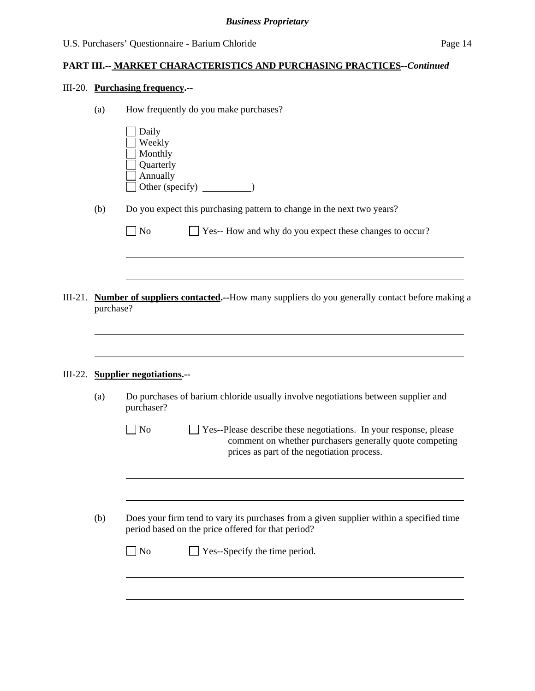## III-20. **Purchasing frequency.--**

| Daily<br>Weekly<br>Monthly<br>Quarterly<br>Annually<br>(b)<br>Do you expect this purchasing pattern to change in the next two years?<br>Yes-- How and why do you expect these changes to occur?<br>N <sub>o</sub><br><b>Number of suppliers contacted.</b> --How many suppliers do you generally contact before making a<br>III-21.<br>purchase?<br><b>Supplier negotiations.--</b><br>III-22.<br>Do purchases of barium chloride usually involve negotiations between supplier and<br>(a)<br>purchaser?<br>Yes--Please describe these negotiations. In your response, please<br>No<br>comment on whether purchasers generally quote competing<br>prices as part of the negotiation process.<br>Does your firm tend to vary its purchases from a given supplier within a specified time<br>(b)<br>period based on the price offered for that period?<br>Yes--Specify the time period.<br>No | How frequently do you make purchases? |
|---------------------------------------------------------------------------------------------------------------------------------------------------------------------------------------------------------------------------------------------------------------------------------------------------------------------------------------------------------------------------------------------------------------------------------------------------------------------------------------------------------------------------------------------------------------------------------------------------------------------------------------------------------------------------------------------------------------------------------------------------------------------------------------------------------------------------------------------------------------------------------------------|---------------------------------------|
|                                                                                                                                                                                                                                                                                                                                                                                                                                                                                                                                                                                                                                                                                                                                                                                                                                                                                             |                                       |
|                                                                                                                                                                                                                                                                                                                                                                                                                                                                                                                                                                                                                                                                                                                                                                                                                                                                                             |                                       |
|                                                                                                                                                                                                                                                                                                                                                                                                                                                                                                                                                                                                                                                                                                                                                                                                                                                                                             |                                       |
|                                                                                                                                                                                                                                                                                                                                                                                                                                                                                                                                                                                                                                                                                                                                                                                                                                                                                             |                                       |
|                                                                                                                                                                                                                                                                                                                                                                                                                                                                                                                                                                                                                                                                                                                                                                                                                                                                                             |                                       |
|                                                                                                                                                                                                                                                                                                                                                                                                                                                                                                                                                                                                                                                                                                                                                                                                                                                                                             |                                       |
|                                                                                                                                                                                                                                                                                                                                                                                                                                                                                                                                                                                                                                                                                                                                                                                                                                                                                             |                                       |
|                                                                                                                                                                                                                                                                                                                                                                                                                                                                                                                                                                                                                                                                                                                                                                                                                                                                                             |                                       |
|                                                                                                                                                                                                                                                                                                                                                                                                                                                                                                                                                                                                                                                                                                                                                                                                                                                                                             |                                       |
|                                                                                                                                                                                                                                                                                                                                                                                                                                                                                                                                                                                                                                                                                                                                                                                                                                                                                             |                                       |
|                                                                                                                                                                                                                                                                                                                                                                                                                                                                                                                                                                                                                                                                                                                                                                                                                                                                                             |                                       |
|                                                                                                                                                                                                                                                                                                                                                                                                                                                                                                                                                                                                                                                                                                                                                                                                                                                                                             |                                       |
|                                                                                                                                                                                                                                                                                                                                                                                                                                                                                                                                                                                                                                                                                                                                                                                                                                                                                             |                                       |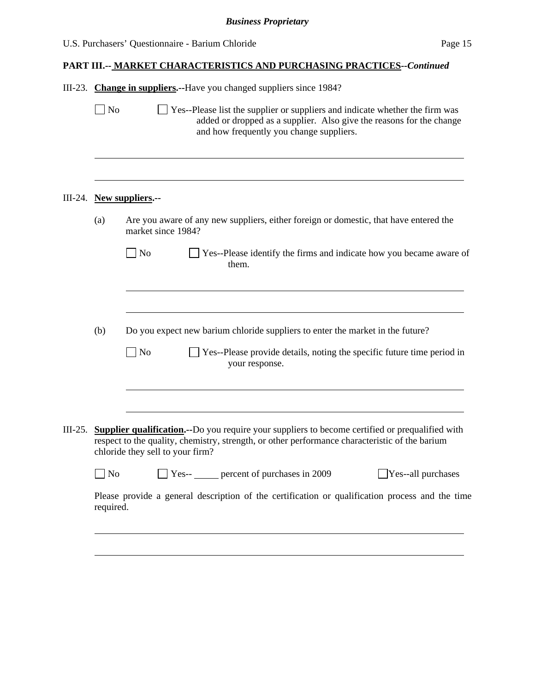| U.S. Purchasers' Questionnaire - Barium Chloride | Page 15 |
|--------------------------------------------------|---------|
|--------------------------------------------------|---------|

|           | No             | III-23. Change in suppliers.--Have you changed suppliers since 1984?<br>Yes--Please list the supplier or suppliers and indicate whether the firm was<br>added or dropped as a supplier. Also give the reasons for the change<br>and how frequently you change suppliers. |
|-----------|----------------|--------------------------------------------------------------------------------------------------------------------------------------------------------------------------------------------------------------------------------------------------------------------------|
|           |                |                                                                                                                                                                                                                                                                          |
| III-24.   |                | New suppliers.--                                                                                                                                                                                                                                                         |
|           | (a)            | Are you aware of any new suppliers, either foreign or domestic, that have entered the<br>market since 1984?                                                                                                                                                              |
|           |                | $\overline{\phantom{a}}$ No<br>Yes--Please identify the firms and indicate how you became aware of<br>them.                                                                                                                                                              |
|           | (b)            | Do you expect new barium chloride suppliers to enter the market in the future?                                                                                                                                                                                           |
|           |                | N <sub>o</sub><br>Yes--Please provide details, noting the specific future time period in<br>your response.                                                                                                                                                               |
| $III-25.$ |                | <b>Supplier qualification.</b> --Do you require your suppliers to become certified or prequalified with<br>respect to the quality, chemistry, strength, or other performance characteristic of the barium                                                                |
|           |                | chloride they sell to your firm?                                                                                                                                                                                                                                         |
|           | N <sub>0</sub> | Yes-- percent of purchases in 2009<br>Yes--all purchases                                                                                                                                                                                                                 |
|           | required.      | Please provide a general description of the certification or qualification process and the time                                                                                                                                                                          |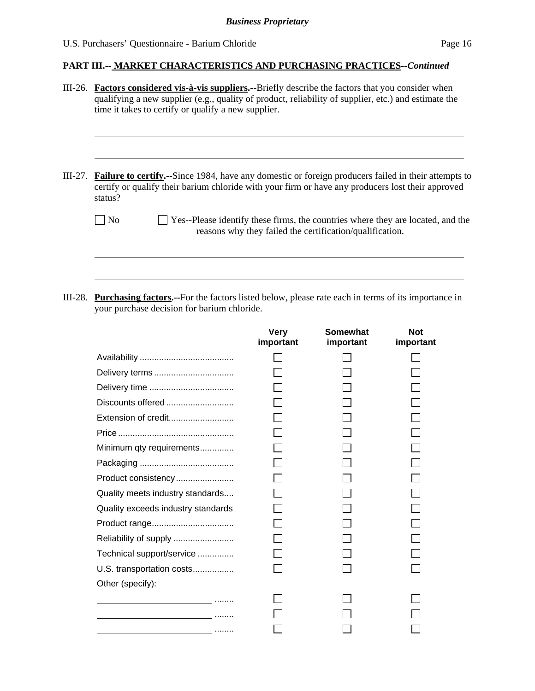| III-26. Factors considered vis-à-vis suppliers.--Briefly describe the factors that you consider when<br>qualifying a new supplier (e.g., quality of product, reliability of supplier, etc.) and estimate the<br>time it takes to certify or qualify a new supplier. |                                                                                                                                                                                                                  |  |  |
|---------------------------------------------------------------------------------------------------------------------------------------------------------------------------------------------------------------------------------------------------------------------|------------------------------------------------------------------------------------------------------------------------------------------------------------------------------------------------------------------|--|--|
| III-27.<br>status?                                                                                                                                                                                                                                                  | <b>Failure to certify.</b> --Since 1984, have any domestic or foreign producers failed in their attempts to<br>certify or qualify their barium chloride with your firm or have any producers lost their approved |  |  |
| No                                                                                                                                                                                                                                                                  | Yes--Please identify these firms, the countries where they are located, and the<br>reasons why they failed the certification/qualification.                                                                      |  |  |
|                                                                                                                                                                                                                                                                     |                                                                                                                                                                                                                  |  |  |

III-28. **Purchasing factors.--**For the factors listed below, please rate each in terms of its importance in your purchase decision for barium chloride.

|                                                                                                                        | Very<br>important | Somewhat<br>important | <b>Not</b><br>important |
|------------------------------------------------------------------------------------------------------------------------|-------------------|-----------------------|-------------------------|
|                                                                                                                        |                   |                       |                         |
| Delivery terms                                                                                                         |                   |                       |                         |
|                                                                                                                        |                   |                       |                         |
| Discounts offered                                                                                                      |                   |                       |                         |
| Extension of credit                                                                                                    |                   |                       |                         |
|                                                                                                                        |                   |                       |                         |
| Minimum qty requirements                                                                                               |                   |                       |                         |
|                                                                                                                        |                   |                       |                         |
| Product consistency                                                                                                    |                   |                       |                         |
| Quality meets industry standards                                                                                       |                   |                       |                         |
| Quality exceeds industry standards                                                                                     |                   |                       |                         |
|                                                                                                                        |                   |                       |                         |
| Reliability of supply                                                                                                  |                   |                       |                         |
| Technical support/service                                                                                              |                   |                       |                         |
| U.S. transportation costs                                                                                              |                   |                       |                         |
| Other (specify):                                                                                                       |                   |                       |                         |
| <u>and a complete the complete state</u>                                                                               |                   |                       |                         |
|                                                                                                                        |                   |                       |                         |
| <u> 1989 - Jan James James Jan James James James James James James James James James James James James James James</u> |                   |                       |                         |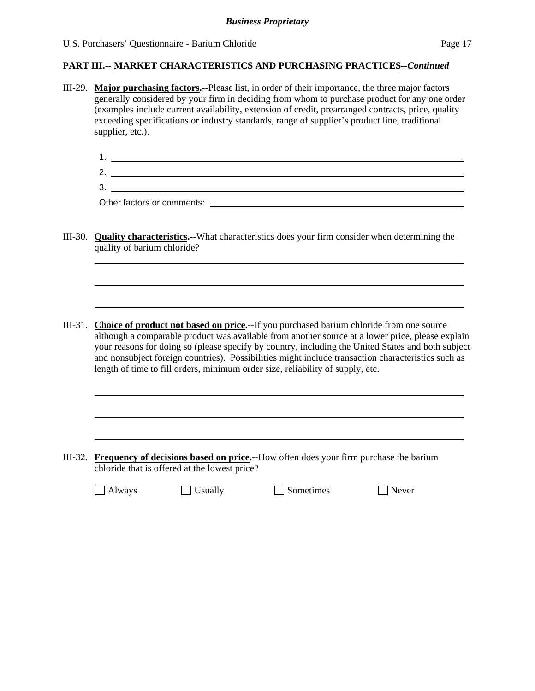III-29. **Major purchasing factors.--**Please list, in order of their importance, the three major factors generally considered by your firm in deciding from whom to purchase product for any one order (examples include current availability, extension of credit, prearranged contracts, price, quality exceeding specifications or industry standards, range of supplier's product line, traditional supplier, etc.).

| r |  |
|---|--|
|   |  |

Other factors or comments:

l

 $\overline{a}$ 

- III-30. **Quality characteristics.--**What characteristics does your firm consider when determining the quality of barium chloride?
- III-31. **Choice of product not based on price.--**If you purchased barium chloride from one source although a comparable product was available from another source at a lower price, please explain your reasons for doing so (please specify by country, including the United States and both subject and nonsubject foreign countries). Possibilities might include transaction characteristics such as length of time to fill orders, minimum order size, reliability of supply, etc.

III-32. **Frequency of decisions based on price.--**How often does your firm purchase the barium chloride that is offered at the lowest price?

 $\Box$  Always  $\Box$  Usually  $\Box$  Sometimes  $\Box$  Never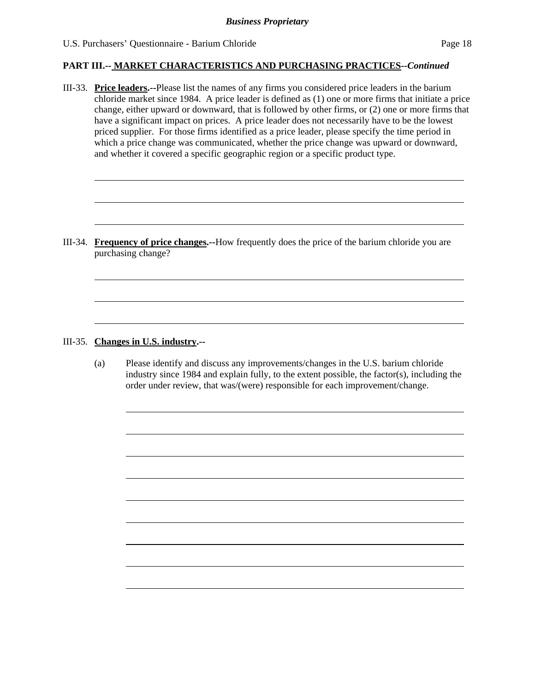III-33. **Price leaders.--**Please list the names of any firms you considered price leaders in the barium chloride market since 1984. A price leader is defined as (1) one or more firms that initiate a price change, either upward or downward, that is followed by other firms, or (2) one or more firms that have a significant impact on prices. A price leader does not necessarily have to be the lowest priced supplier. For those firms identified as a price leader, please specify the time period in which a price change was communicated, whether the price change was upward or downward, and whether it covered a specific geographic region or a specific product type.

III-34. **Frequency of price changes.--**How frequently does the price of the barium chloride you are purchasing change?

#### III-35. **Changes in U.S. industry.--**

l

 $\overline{a}$ 

 $\overline{a}$ 

(a) Please identify and discuss any improvements/changes in the U.S. barium chloride industry since 1984 and explain fully, to the extent possible, the factor(s), including the order under review, that was/(were) responsible for each improvement/change.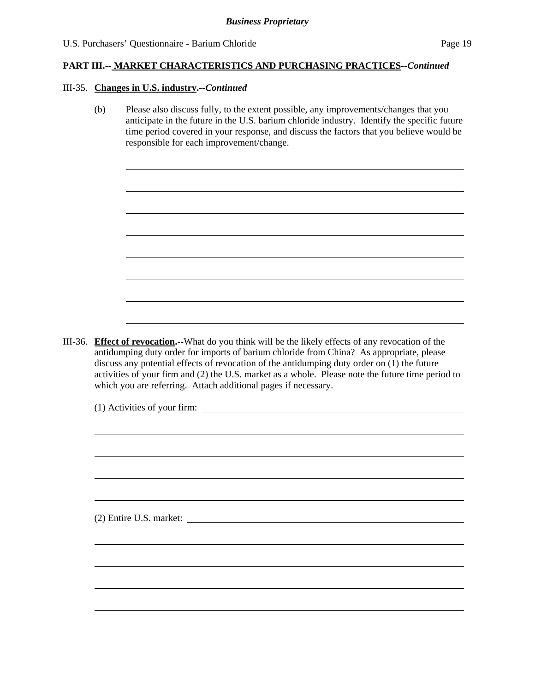#### III-35. **Changes in U.S. industry.--***Continued*

l

(b) Please also discuss fully, to the extent possible, any improvements/changes that you anticipate in the future in the U.S. barium chloride industry. Identify the specific future time period covered in your response, and discuss the factors that you believe would be responsible for each improvement/change.

III-36. **Effect of revocation.--**What do you think will be the likely effects of any revocation of the antidumping duty order for imports of barium chloride from China? As appropriate, please discuss any potential effects of revocation of the antidumping duty order on (1) the future activities of your firm and (2) the U.S. market as a whole. Please note the future time period to which you are referring. Attach additional pages if necessary.

(1) Activities of your firm: (2) Entire U.S. market: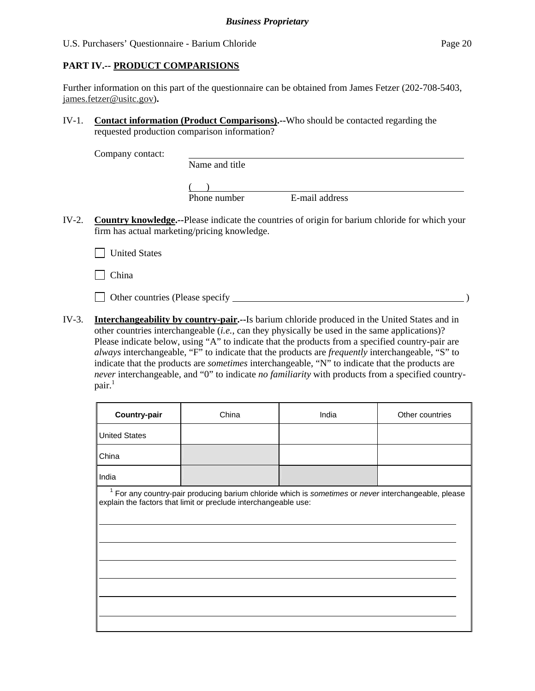Further information on this part of the questionnaire can be obtained from James Fetzer (202-708-5403, james.fetzer@usitc.gov)**.** 

IV-1. **Contact information (Product Comparisons).--**Who should be contacted regarding the requested production comparison information?

Company contact:

|  | Name and title |                |  |
|--|----------------|----------------|--|
|  |                |                |  |
|  | Phone number   | E-mail address |  |

IV-2. **Country knowledge.--**Please indicate the countries of origin for barium chloride for which your firm has actual marketing/pricing knowledge.

**United States** 

 $\Box$  China

Other countries (Please specify )

IV-3. **Interchangeability by country-pair.--**Is barium chloride produced in the United States and in other countries interchangeable (*i.e.*, can they physically be used in the same applications)? Please indicate below, using "A" to indicate that the products from a specified country-pair are *always* interchangeable, "F" to indicate that the products are *frequently* interchangeable, "S" to indicate that the products are *sometimes* interchangeable, "N" to indicate that the products are *never* interchangeable, and "0" to indicate *no familiarity* with products from a specified country- $\text{pair.}^1$ 

| Country-pair         | China                                                                                                                                                                              | India | Other countries |
|----------------------|------------------------------------------------------------------------------------------------------------------------------------------------------------------------------------|-------|-----------------|
| <b>United States</b> |                                                                                                                                                                                    |       |                 |
| China                |                                                                                                                                                                                    |       |                 |
| India                |                                                                                                                                                                                    |       |                 |
|                      | <sup>1</sup> For any country-pair producing barium chloride which is sometimes or never interchangeable, please<br>explain the factors that limit or preclude interchangeable use: |       |                 |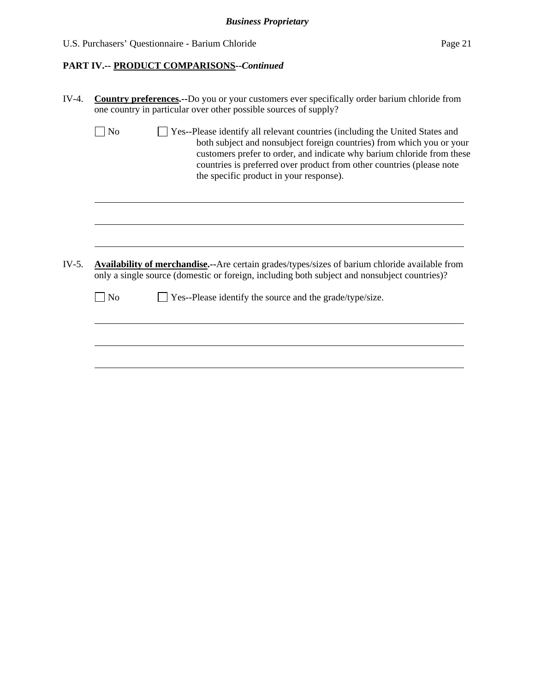| U.S. Purchasers' Questionnaire - Barium Chloride | Page 21 |
|--------------------------------------------------|---------|
|--------------------------------------------------|---------|

# **PART IV.-- PRODUCT COMPARISONS***--Continued*

|         |                                                                                                                                                                                                        | one country in particular over other possible sources of supply?                                                                                                                                                                                                                                                                                    |  |  |  |  |  |
|---------|--------------------------------------------------------------------------------------------------------------------------------------------------------------------------------------------------------|-----------------------------------------------------------------------------------------------------------------------------------------------------------------------------------------------------------------------------------------------------------------------------------------------------------------------------------------------------|--|--|--|--|--|
|         | N <sub>o</sub>                                                                                                                                                                                         | Yes--Please identify all relevant countries (including the United States and<br>both subject and nonsubject foreign countries) from which you or your<br>customers prefer to order, and indicate why barium chloride from these<br>countries is preferred over product from other countries (please note<br>the specific product in your response). |  |  |  |  |  |
|         |                                                                                                                                                                                                        |                                                                                                                                                                                                                                                                                                                                                     |  |  |  |  |  |
| $IV-5.$ | <b>Availability of merchandise.</b> --Are certain grades/types/sizes of barium chloride available from<br>only a single source (domestic or foreign, including both subject and nonsubject countries)? |                                                                                                                                                                                                                                                                                                                                                     |  |  |  |  |  |
|         |                                                                                                                                                                                                        |                                                                                                                                                                                                                                                                                                                                                     |  |  |  |  |  |
|         | N <sub>0</sub>                                                                                                                                                                                         | Yes--Please identify the source and the grade/type/size.                                                                                                                                                                                                                                                                                            |  |  |  |  |  |
|         |                                                                                                                                                                                                        |                                                                                                                                                                                                                                                                                                                                                     |  |  |  |  |  |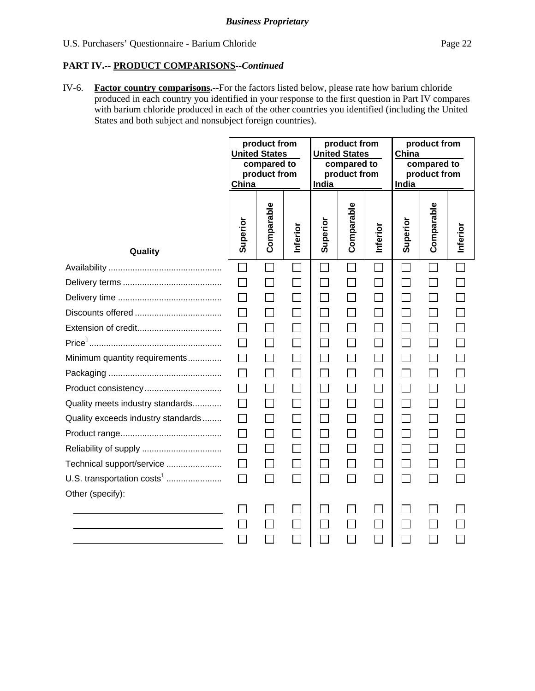## **PART IV.-- PRODUCT COMPARISONS***--Continued*

IV-6. **Factor country comparisons.--**For the factors listed below, please rate how barium chloride produced in each country you identified in your response to the first question in Part IV compares with barium chloride produced in each of the other countries you identified (including the United States and both subject and nonsubject foreign countries).

|                                        | product from<br><b>United States</b><br>compared to<br>product from<br>China |                | product from<br><b>United States</b><br>compared to<br>product from<br>India |                          | product from<br>China<br>compared to<br>product from<br>India |                             |                 |                   |          |
|----------------------------------------|------------------------------------------------------------------------------|----------------|------------------------------------------------------------------------------|--------------------------|---------------------------------------------------------------|-----------------------------|-----------------|-------------------|----------|
| Quality                                | Superior                                                                     | Comparable     | Inferior                                                                     | Superior                 | Comparable                                                    | Inferior                    | Superior        | Comparable        | Inferior |
|                                        | П                                                                            |                |                                                                              |                          |                                                               |                             |                 |                   |          |
|                                        |                                                                              |                |                                                                              |                          |                                                               | $\Box$                      | $\sim$          |                   |          |
|                                        |                                                                              | $\Box$         |                                                                              |                          |                                                               | ×.                          | $\mathcal{L}$   |                   |          |
|                                        |                                                                              | $\Box$         |                                                                              |                          |                                                               | Π                           |                 |                   |          |
|                                        |                                                                              | $\Box$         |                                                                              | $\overline{\phantom{a}}$ |                                                               | $\Box$                      | $\Box$          | $\vert \ \ \vert$ |          |
|                                        |                                                                              | $\Box$         |                                                                              | $\Box$                   |                                                               | $\Box$                      | $\Box$          |                   |          |
| Minimum quantity requirements          |                                                                              | $\Box$         |                                                                              | $\Box$                   |                                                               | $\Box$                      | $\mathsf{L}$    |                   |          |
|                                        |                                                                              | П              |                                                                              |                          |                                                               |                             |                 |                   |          |
|                                        |                                                                              | $\Box$         |                                                                              |                          |                                                               | $\mathcal{L}_{\mathcal{A}}$ | <b>Contract</b> |                   |          |
| Quality meets industry standards       |                                                                              |                |                                                                              |                          |                                                               |                             |                 |                   |          |
| Quality exceeds industry standards     |                                                                              | П              |                                                                              | $\blacksquare$           |                                                               |                             | $\Box$          |                   |          |
|                                        |                                                                              |                |                                                                              |                          |                                                               |                             |                 |                   |          |
|                                        |                                                                              | $\mathbb{R}^3$ |                                                                              |                          |                                                               | $\Box$                      |                 |                   |          |
| Technical support/service              |                                                                              |                |                                                                              |                          |                                                               |                             |                 |                   |          |
| U.S. transportation costs <sup>1</sup> | П                                                                            | $\Box$         |                                                                              |                          |                                                               | ×.                          | $\mathcal{L}$   |                   |          |
| Other (specify):                       |                                                                              |                |                                                                              |                          |                                                               |                             |                 |                   |          |
|                                        |                                                                              |                |                                                                              |                          |                                                               |                             |                 |                   |          |
|                                        |                                                                              |                |                                                                              |                          |                                                               |                             |                 |                   |          |
|                                        |                                                                              |                |                                                                              |                          |                                                               |                             |                 |                   |          |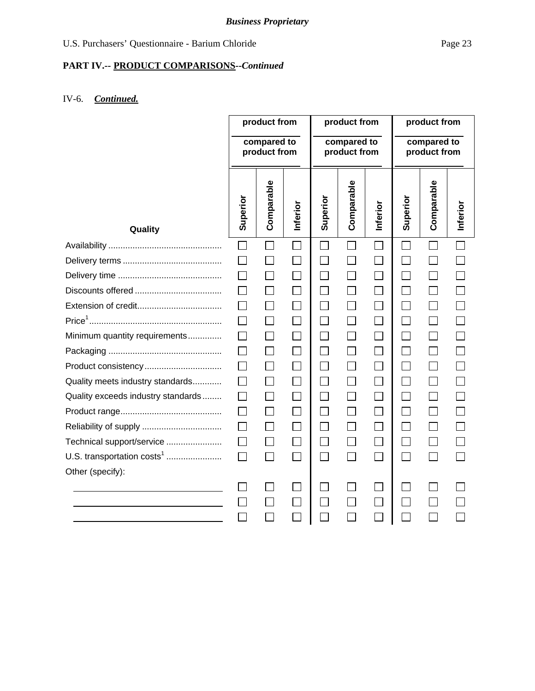# *Business Proprietary*

# **PART IV.-- PRODUCT COMPARISONS***--Continued*

# IV-6. *Continued.*

|                                        | product from                |            | product from                |                             |                             | product from |                |            |          |
|----------------------------------------|-----------------------------|------------|-----------------------------|-----------------------------|-----------------------------|--------------|----------------|------------|----------|
|                                        | compared to<br>product from |            | compared to<br>product from |                             | compared to<br>product from |              |                |            |          |
| Quality                                | Superior                    | Comparable | Inferior                    | Superior                    | Comparable                  | Inferior     | Superior       | Comparable | Inferior |
|                                        | $\Box$                      |            |                             |                             | $\Box$                      |              |                |            |          |
|                                        |                             |            |                             | $\Box$                      |                             | $\Box$       | $\mathsf{L}$   |            |          |
|                                        |                             |            |                             | $\sim$                      |                             | $\Box$       | $\mathcal{L}$  |            |          |
|                                        |                             |            |                             | $\mathcal{L}_{\mathcal{A}}$ |                             | $\Box$       |                |            |          |
|                                        |                             |            |                             | $\Box$                      | $\mathcal{L}$               | $\Box$       | $\mathcal{L}$  |            |          |
|                                        | $\Box$                      | $\Box$     | $\blacksquare$              | ٦                           | $\overline{\phantom{0}}$    | $\Box$       |                |            |          |
| Minimum quantity requirements          |                             |            |                             | $\mathcal{L}_{\mathcal{A}}$ | $\overline{\phantom{a}}$    | $\Box$       | $\blacksquare$ |            |          |
|                                        |                             | $\Box$     |                             | $\mathcal{L}_{\mathcal{A}}$ | $\Box$                      | $\Box$       |                |            |          |
| Product consistency                    | $\perp$                     |            |                             | $\sim$                      | $\sim$                      | $\Box$       | $\mathbf{I}$   |            |          |
| Quality meets industry standards       |                             |            |                             | $\mathcal{L}_{\mathcal{A}}$ |                             | $\Box$       | $\mathcal{L}$  |            |          |
| Quality exceeds industry standards     |                             |            |                             | $\vert \ \ \vert$           |                             | $\Box$       | $\mathsf{L}$   |            |          |
|                                        |                             |            |                             |                             |                             |              |                |            |          |
|                                        |                             |            |                             |                             |                             | $\Box$       |                |            |          |
| Technical support/service              |                             |            |                             | $\mathcal{L}_{\mathcal{A}}$ |                             |              |                |            |          |
| U.S. transportation costs <sup>1</sup> | $\Box$                      | ┓          | П                           | $\Box$                      | П                           | $\Box$       | $\Box$         |            |          |
| Other (specify):                       |                             |            |                             |                             |                             |              |                |            |          |
|                                        |                             |            |                             |                             |                             |              |                |            |          |
|                                        |                             |            |                             |                             |                             | $\sim$       |                |            |          |
|                                        |                             |            |                             |                             |                             |              |                |            |          |